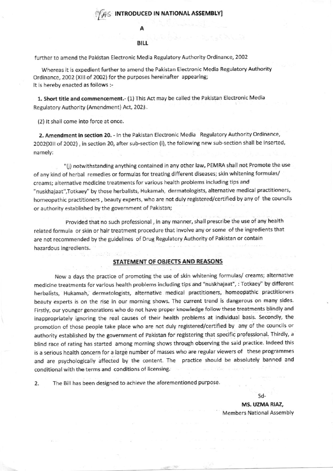### **S INTRODUCED IN NATIONAL ASSEMBLY**

#### **BILL**

further to amend the Pakistan Electronic Media Regulatory Authority Ordinance, 2002

Whereas it is expedient further to amend the Pakistan Electronic Media Regulatory Authority Ordinance, 2002 (XIII of 2002) for the purposes hereinafter appearing; It is hereby enacted as follows :-

1. Short title and commencement.- (1) This Act may be called the Pakistan Electronic Media Regulatory Authority (Amendment) Act, 2021.

(2) It shall come into force at once.

2. Amendment in section 20. - In the Pakistan Electronic Media Regulatory Authority Ordinance, 2002(XIII of 2002), in section 20, after sub-section (i), the following new sub-section shall be inserted, namely:

"(i) notwithstanding anything contained in any other law, PEMRA shall not Promote the use of any kind of herbal remedies or formulas for treating different diseases; skin whitening formulas/ creams; alternative medicine treatments for various health problems including tips and "nuskhajaat", Totkaey" by those herbalists, Hukamah, dermatologists, alternative medical practitioners, homeopathic practitioners, beauty experts, who are not duly registered/certified by any of the councils or authority established by the government of Pakistan;

Provided that no such professional, in any manner, shall prescribe the use of any health related formula or skin or hair treatment procedure that involve any or some of the ingredients that are not recommended by the guidelines of Drug Regulatory Authority of Pakistan or contain hazardous ingredients.

### STATEMENT OF OBJECTS AND REASONS

Now a days the practice of promoting the use of skin whitening formulas/ creams; alternative medicine treatments for various health problems including tips and "nuskhajaat", : Totkaey" by different herbalists, Hukamah, dermatologists, alternative medical practitioners, homeopathic practitioners beauty experts is on the rise in our morning shows. The current trend is dangerous on many sides. Firstly, our younger generations who do not have proper knowledge follow these treatments blindly and inappropriately ignoring the real causes of their health problems at individual basis. Secondly, the promotion of those people take place who are not duly registered/certified by any of the councils or authority established by the government of Pakistan for registering that specific professional. Thirdly, a blind race of rating has started among morning shows through observing the said practice. Indeed this is a serious health concern for a large number of masses who are regular viewers of these programmes and are psychologically affected by the content. The practice should be absolutely banned and conditional with the terms and conditions of licensing.

2. The Bill has been designed to achieve the aforementioned purpose.

Sd-

MS. UZMA RIAZ, **Members National Assembly**